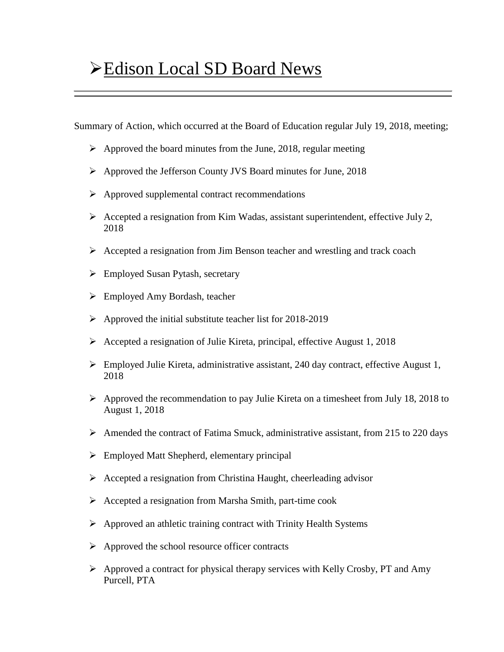## Edison Local SD Board News

Summary of Action, which occurred at the Board of Education regular July 19, 2018, meeting;

- $\triangleright$  Approved the board minutes from the June, 2018, regular meeting
- Approved the Jefferson County JVS Board minutes for June, 2018
- $\triangleright$  Approved supplemental contract recommendations
- $\triangleright$  Accepted a resignation from Kim Wadas, assistant superintendent, effective July 2, 2018
- $\triangleright$  Accepted a resignation from Jim Benson teacher and wrestling and track coach
- $\triangleright$  Employed Susan Pytash, secretary
- Employed Amy Bordash, teacher
- $\triangleright$  Approved the initial substitute teacher list for 2018-2019
- $\triangleright$  Accepted a resignation of Julie Kireta, principal, effective August 1, 2018
- Employed Julie Kireta, administrative assistant, 240 day contract, effective August 1, 2018
- $\triangleright$  Approved the recommendation to pay Julie Kireta on a timesheet from July 18, 2018 to August 1, 2018
- $\triangleright$  Amended the contract of Fatima Smuck, administrative assistant, from 215 to 220 days
- $\triangleright$  Employed Matt Shepherd, elementary principal
- $\triangleright$  Accepted a resignation from Christina Haught, cheerleading advisor
- $\triangleright$  Accepted a resignation from Marsha Smith, part-time cook
- $\triangleright$  Approved an athletic training contract with Trinity Health Systems
- $\triangleright$  Approved the school resource officer contracts
- $\triangleright$  Approved a contract for physical therapy services with Kelly Crosby, PT and Amy Purcell, PTA